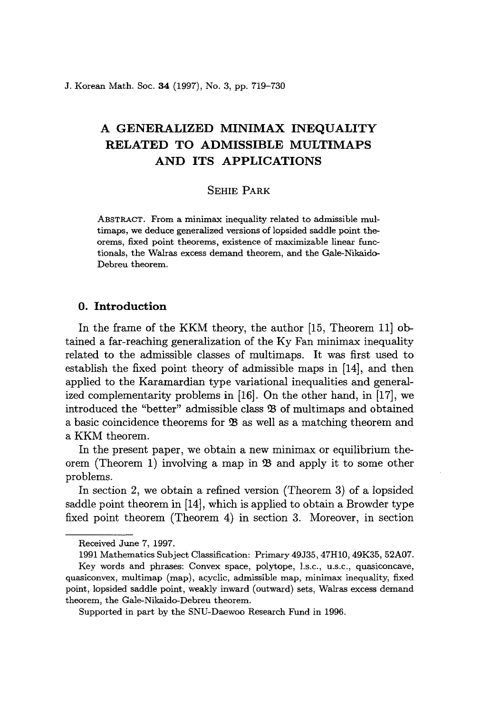J. Korean Math. Soc. **34** (1997), No. 3, pp. 719-730

# A **GENERALIZED MINIMAX INEQUALITY RELATED TO ADMISSIBLE MULTIMAPS AND ITS APPLICATIONS**

# SEHIE PARK

ABSTRACT. From a minimax inequality related to admissible multimaps, we deduce generalized versions of lopsided saddle point theorems, fixed point theorems, existence of maximizable linear functionals, the Walras excess demand theorem, and the Gale-Nikaido-Debreu theorem.

# **o. Introduction**

In the frame of the KKM theory, the author [15, Theorem 11] obtained a far-reaching generalization of the Ky Fan minimax inequality related to the admissible classes of multimaps. It was first used to establish the fixed point theory of admissible maps in [14], and then applied to the Karamardian type variational inequalities and generalized complementarity problems in [16]. On the other hand, in [17], we introduced the "better" admissible class \$ of multimaps and obtained a basic coincidence theorems for  $\mathfrak B$  as well as a matching theorem and a KKM theorem.

In the present paper, we obtain a new minimax or equilibrium theorem (Theorem 1) involving a map in  $\mathfrak{B}$  and apply it to some other problems.

In section 2, we obtain a refined version (Theorem 3) of a lopsided saddle point theorem in [14], which is applied to obtain a Browder type fixed point theorem (Theorem 4) in section 3. Moreover, in section

Received June 7, 1997.

<sup>1991</sup> Mathematics Subject Classification: Primary 49J35, 47HlO, *49K35,* 52A07.

Key words and phrases: Convex space, polytope, l.s.c., u.s.c., quasiconcave, quasiconvex, multimap (map), acyclic, admissible map, minimax inequality, fixed point, lopsided saddle point, weakly inward (outward) sets, Walras excess demand theorem, the Gale-Nikaido-Debreu theorem.

Supported in part by the SNU-Daewoo Research Fund in 1996.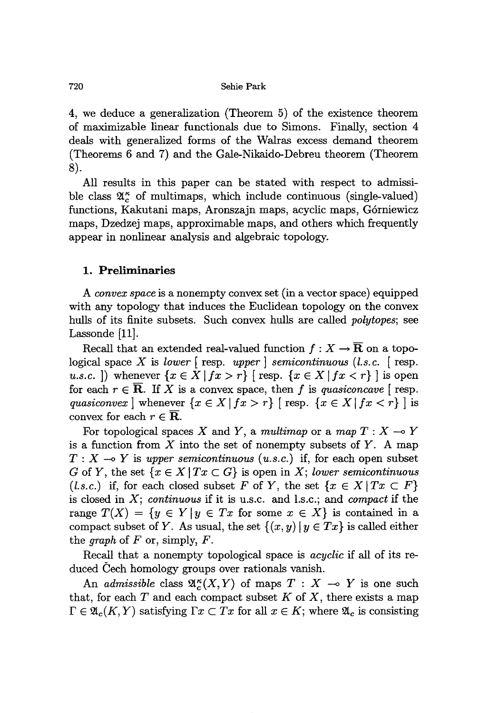4, we deduce a generalization (Theorem 5) of the existence theorem of maximizable linear functionals due to Simons. Finally, section 4 deals with generalized forms of the Walras excess demand theorem (Theorems 6 and 7) and the Gale-Nikaido-Debreu theorem (Theorem 8).

All results in this paper can be stated with respect to admissible class  $\mathfrak{A}_{c}^{\kappa}$  of multimaps, which include continuous (single-valued) functions, Kakutani maps, Aronszajn maps, acyclic maps, G6rniewicz maps, Dzedzej maps, approximable maps, and others which frequently appear in nonlinear analysis and algebraic topology.

## **1. Preliminaries**

A *convex space* is a nonempty convex set (in a vector space) equipped with any topology that induces the Euclidean topology on the convex hulls of its finite subsets. Such convex hulls are called *polytopes;* see Lassonde [11].

Recall that an extended real-valued function  $f : X \to \overline{\mathbf{R}}$  on a topological space X is *lower* [resp. *upper] semicontinuous (l.s.c.* [resp. *u.s.c.* ]) whenever  $\{x \in X \mid fx > r\}$  [resp.  $\{x \in X \mid fx < r\}$ ] is open for each  $r \in \overline{\mathbf{R}}$ . If X is a convex space, then f is *quasiconcave* [resp. *quasiconvex* | whenever  $\{x \in X \mid fx > r\}$  | resp.  $\{x \in X \mid fx < r\}$  | is convex for each  $r \in \overline{\mathbf{R}}$ .

For topological spaces X and Y, a *multimap* or a *map*  $T: X \rightarrow Y$ is a function from  $X$  into the set of nonempty subsets of  $Y$ . A map  $T : X \longrightarrow Y$  is *upper semicontinuous* (*u.s.c.*) if, for each open subset G of Y, the set  $\{x \in X | Tx \subset G\}$  is open in X; *lower semicontinuous (l.s.c.)* if, for each closed subset F of Y, the set  $\{x \in X | Tx \subset F\}$ is closed in X; *continuous* if it is u.s.c. and l.s.c.; and *compact* if the range  $T(X) = \{y \in Y | y \in Tx \text{ for some } x \in X\}$  is contained in a compact subset of *Y*. As usual, the set  $\{(x, y) | y \in Tx\}$  is called either the *graph* of *F* or, simply, *F.*

Recall that a nonempty topological space is *acyclic* if all of its reduced Cech homology groups over rationals vanish.

An *admissible* class  $\mathfrak{A}_{\alpha}^{\kappa}(X, Y)$  of maps  $T : X \rightarrow Y$  is one such that, for each  $T$  and each compact subset  $K$  of  $X$ , there exists a map  $\Gamma \in \mathfrak{A}_c(K,Y)$  satisfying  $\Gamma x \subset Tx$  for all  $x \in K$ ; where  $\mathfrak{A}_c$  is consisting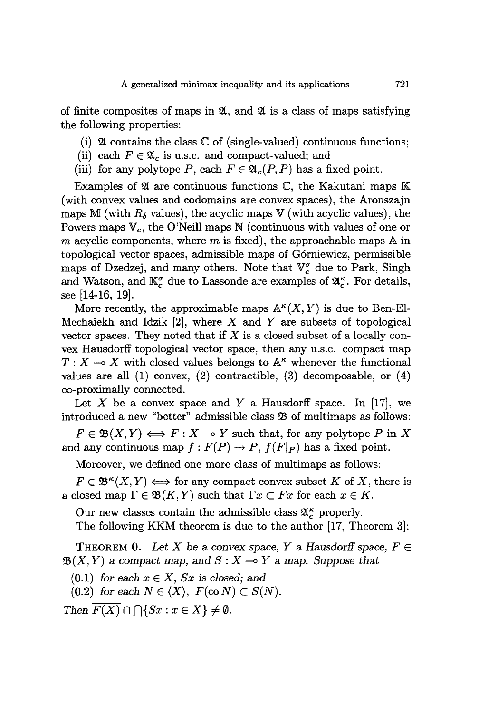of finite composites of maps in  $\mathfrak{A}$ , and  $\mathfrak{A}$  is a class of maps satisfying the following properties:

- (i)  $\mathfrak A$  contains the class  $\mathbb C$  of (single-valued) continuous functions;
- (ii) each  $F \in \mathfrak{A}_c$  is u.s.c. and compact-valued; and
- (iii) for any polytope *P*, each  $F \in \mathfrak{A}_c(P, P)$  has a fixed point.

Examples of  $\mathfrak A$  are continuous functions  $\mathbb C$ , the Kakutani maps  $\mathbb K$ (with convex values and codomains are convex spaces), the Aronszajn maps M (with  $R_{\delta}$  values), the acyclic maps V (with acyclic values), the Powers maps  $V_c$ , the O'Neill maps N (continuous with values of one or m acyclic components, where  $m$  is fixed), the approachable maps  $A$  in topological vector spaces, admissible maps of G6rniewicz, permissible maps of Dzedzej, and many others. Note that  $\mathbb{V}_c^{\sigma}$  due to Park, Singh and Watson, and  $\mathbb{K}_{c}^{\sigma}$  due to Lassonde are examples of  $\mathfrak{A}_{c}^{\kappa}$ . For details, see [14-16, 19].

More recently, the approximable maps  $\mathbb{A}^{\kappa}(X, Y)$  is due to Ben-El-Mechaiekh and Idzik  $[2]$ , where X and Y are subsets of topological vector spaces. They noted that if *X* is a closed subset of a locally convex Hausdorff topological vector space, then any u.s.c. compact map  $T: X \longrightarrow X$  with closed values belongs to  $A^{\kappa}$  whenever the functional values are all (1) convex, (2) contractible, (3) decomposable, or (4) oo-proximally connected.

Let X be a convex space and Y a Hausdorff space. In  $[17]$ , we introduced a new "better" admissible class  $\mathfrak B$  of multimaps as follows:

 $F \in \mathfrak{B}(X, Y) \Longleftrightarrow F : X \multimap Y$  such that, for any polytope P in X and any continuous map  $f: F(P) \to P$ ,  $f(F|_P)$  has a fixed point.

Moreover, we defined one more class of multimaps as follows:

 $F \in \mathfrak{B}^{\kappa}(X, Y) \Longleftrightarrow$  for any compact convex subset K of X, there is a closed map  $\Gamma \in \mathfrak{B}(K, Y)$  such that  $\Gamma x \subset Fx$  for each  $x \in K$ .

Our new classes contain the admissible class  $\mathfrak{A}_{c}^{\kappa}$  properly.

The following KKM theorem is due to the author [17, Theorem 3]:

**THEOREM** 0. Let X be a convex space, Y a Hausdorff space,  $F \in$  $\mathfrak{B}(X, Y)$  a compact map, and  $S: X \rightarrow Y$  a map. Suppose that

 $(0.1)$  *for each*  $x \in X$ *, Sx is closed;* and

 $(0.2)$  *for each*  $N \in \langle X \rangle$ ,  $F(\text{co } N) \subset S(N)$ .

*Then*  $\overline{F(X)} \cap \bigcap \{Sx : x \in X\} \neq \emptyset$ .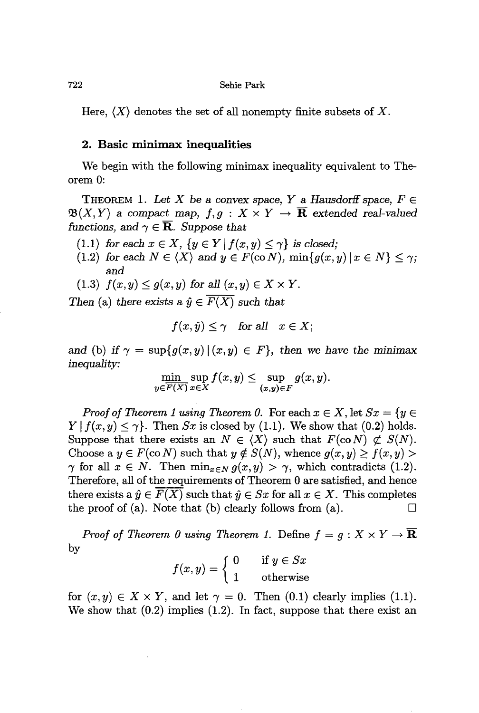Here,  $\langle X \rangle$  denotes the set of all nonempty finite subsets of X.

## **2. Basic minimax inequalities**

We begin with the following minimax inequality equivalent to Theorem 0:

THEOREM 1. Let X be a convex space, Y a Hausdorff space,  $F \in$  $\mathfrak{B}(X,Y)$  a compact map,  $f,g: X \times Y \to \overline{\mathbf{R}}$  extended real-valued *functions, and*  $\gamma \in \overline{\mathbf{R}}$ *. Suppose that* 

- (1.1) *for each*  $x \in X$ ,  $\{y \in Y | f(x, y) \leq \gamma\}$  *is closed;*
- (1.2) *for each*  $N \in \langle X \rangle$  *and*  $y \in F(\text{co } N)$ *,*  $\min\{g(x, y) | x \in N\} \leq \gamma$ ; and
- $(1.3)$   $f(x,y) \leq g(x,y)$  for all  $(x,y) \in X \times Y$ .

*Then* (a) *there exists* a  $\hat{y} \in \overline{F(X)}$  *such that* 

$$
f(x,\hat{y}) \le \gamma \quad \text{for all} \quad x \in X;
$$

and (b) if  $\gamma = \sup\{g(x, y) | (x, y) \in F\}$ , then we have the minimax *inequality:*

$$
\min_{y \in \overline{F(X)}} \sup_{x \in X} f(x, y) \leq \sup_{(x, y) \in F} g(x, y).
$$

*Proof of Theorem* 1 *using Theorem* 0. For each  $x \in X$ , let  $Sx = \{y \in X\}$  $Y | f(x, y) \leq \gamma$ . Then *Sx* is closed by (1.1). We show that (0.2) holds. Suppose that there exists an  $N \in \langle X \rangle$  such that  $F(\text{co } N) \not\subset S(N)$ . Choose a  $y \in F(\text{co } N)$  such that  $y \notin S(N)$ , whence  $g(x, y) \ge f(x, y)$  $\gamma$  for all  $x \in N$ . Then  $\min_{x \in N} g(x, y) > \gamma$ , which contradicts (1.2). Therefore, all of the requirements of Theorem 0 are satisfied, and hence there exists a  $\hat{y} \in F(X)$  such that  $\hat{y} \in Sx$  for all  $x \in X$ . This completes the proof of (a). Note that (b) clearly follows from (a).  $\Box$ 

*Proof of Theorem* 0 *using Theorem* 1. Define  $f = g : X \times Y \rightarrow \overline{\mathbf{R}}$ by

$$
f(x,y) = \begin{cases} 0 & \text{if } y \in Sx \\ 1 & \text{otherwise} \end{cases}
$$

for  $(x, y) \in X \times Y$ , and let  $\gamma = 0$ . Then  $(0.1)$  clearly implies  $(1.1)$ . We show that  $(0.2)$  implies  $(1.2)$ . In fact, suppose that there exist an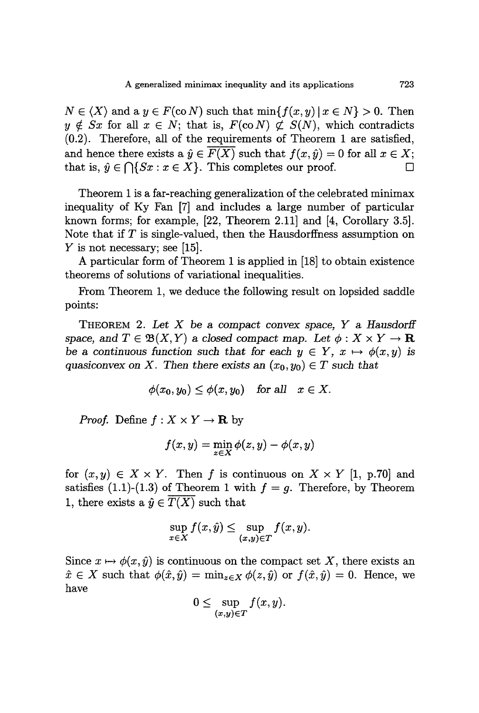$N \in \langle X \rangle$  and a  $y \in F(\text{co } N)$  such that  $\min\{f(x,y) \mid x \in N\} > 0$ . Then  $y \notin Sx$  for all  $x \in N$ ; that is,  $F(\text{co } N) \not\subset S(N)$ , which contradicts (0.2). Therefore, all of the requirements of Theorem 1 are satisfied, and hence there exists a  $\hat{y} \in \overline{F(X)}$  such that  $f(x, \hat{y}) = 0$  for all  $x \in X$ ; that is,  $\hat{y} \in \bigcap \{Sx : x \in X\}$ . This completes our proof.  $\square$ 

Theorem 1 is a far-reaching generalization of the celebrated minimax inequality of Ky Fan [7] and includes a large number of particular known forms; for example, [22, Theorem 2.11] and [4, Corollary 3.5]. Note that if  $T$  is single-valued, then the Hausdorffness assumption on *Y* is not necessary; see [15].

A particular form of Theorem 1 is applied in [18] to obtain existence theorems of solutions of variational inequalities.

From Theorem 1, we deduce the following result on lopsided saddle points:

THEOREM 2. *Let* X be a *compact convex space, Y* a *HausdorH* space, and  $T \in \mathfrak{B}(X, Y)$  a closed compact map. Let  $\phi : X \times Y \to \mathbb{R}$ be a continuous function such that for each  $y \in Y$ ,  $x \mapsto \phi(x, y)$  is *quasiconvex* on X. Then there exists an  $(x_0, y_0) \in T$  such that

$$
\phi(x_0, y_0) \le \phi(x, y_0) \quad \text{for all} \quad x \in X.
$$

*Proof.* Define  $f: X \times Y \to \mathbf{R}$  by

$$
f(x,y) = \min_{z \in X} \phi(z,y) - \phi(x,y)
$$

for  $(x, y) \in X \times Y$ . Then f is continuous on  $X \times Y$  [1, p.70] and satisfies (1.1)-(1.3) of Theorem 1 with  $f = g$ . Therefore, by Theorem 1, there exists a  $\hat{y} \in \overline{T(X)}$  such that

$$
\sup_{x \in X} f(x, \hat{y}) \le \sup_{(x, y) \in T} f(x, y).
$$

Since  $x \mapsto \phi(x, \hat{y})$  is continuous on the compact set X, there exists an  $\hat{x} \in X$  such that  $\phi(\hat{x}, \hat{y}) = \min_{z \in X} \phi(z, \hat{y})$  or  $f(\hat{x}, \hat{y}) = 0$ . Hence, we have

$$
0 \leq \sup_{(x,y)\in T} f(x,y).
$$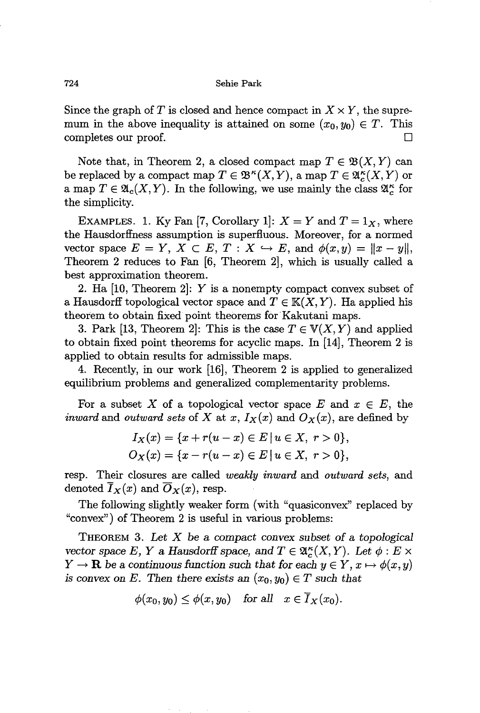Since the graph of T is closed and hence compact in  $X \times Y$ , the supremum in the above inequality is attained on some  $(x_0, y_0) \in T$ . This completes our proof.  $\Box$ 

Note that, in Theorem 2, a closed compact map  $T \in \mathfrak{B}(X,Y)$  can be replaced by a compact map  $T \in \mathfrak{B}^{\kappa}(X,Y)$ , a map  $T \in \mathfrak{A}_{c}^{\kappa}(X,Y)$  or a map  $T \in \mathfrak{A}_{c}(X, Y)$ . In the following, we use mainly the class  $\mathfrak{A}_{c}^{\kappa}$  for the simplicity.

EXAMPLES. 1. Ky Fan [7, Corollary 1]:  $X = Y$  and  $T = 1_X$ , where the Hausdorffness assumption is superfluous. Moreover, for a normed vector space  $E = Y$ ,  $X \subset E$ ,  $T : X \hookrightarrow E$ , and  $\phi(x, y) = ||x - y||$ , Theorem 2 reduces to Fan [6, Theorem 2], which is usually called a best approximation theorem.

2. Ha [10, Theorem 2]: *Y* is a nonempty compact convex subset of a Hausdorff topological vector space and  $T \in K(X, Y)$ . Ha applied his theorem to obtain fixed point theorems for Kakutani maps.

3. Park [13, Theorem 2]: This is the case  $T \in V(X, Y)$  and applied to obtain fixed point theorems for acyclic maps. **In** [14], Theorem 2 is applied to obtain results for admissible maps.

4. Recently, in our work [16], Theorem 2 is applied to generalized equilibrium problems and generalized complementarity problems.

For a subset X of a topological vector space E and  $x \in E$ , the *inward* and *outward sets* of X at *x*,  $I_X(x)$  and  $O_X(x)$ , are defined by

$$
I_X(x) = \{x + r(u - x) \in E \mid u \in X, r > 0\},\,
$$
  

$$
O_X(x) = \{x - r(u - x) \in E \mid u \in X, r > 0\},\,
$$

resp. Their closures are called *weakly inward* and *outward sets,* and denoted  $I_X(x)$  and  $O_X(x)$ , resp.

The following slightly weaker form (with "quasiconvex" replaced by "convex") of Theorem 2 is useful in various problems:

THEOREM 3. *Let* X be a *compact convex subset* of a *topological vector space E*, *Y* a *Hausdorff space*, and  $T \in \mathfrak{A}_{c}^{\kappa}(X, Y)$ . Let  $\phi : E \times$  $Y \to \mathbf{R}$  be a continuous function such that for each  $y \in Y, x \mapsto \phi(x, y)$ is convex on *E*. Then there exists an  $(x_0, y_0) \in T$  such that

$$
\phi(x_0, y_0) \le \phi(x, y_0) \quad \text{for all} \quad x \in \overline{I}_X(x_0).
$$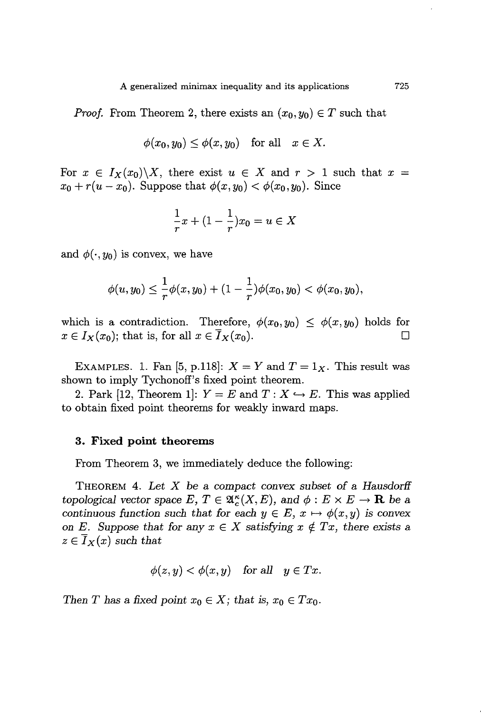*Proof.* From Theorem 2, there exists an  $(x_0, y_0) \in T$  such that

$$
\phi(x_0, y_0) \le \phi(x, y_0) \quad \text{for all} \quad x \in X.
$$

For  $x \in I_X(x_0) \setminus X$ , there exist  $u \in X$  and  $r > 1$  such that  $x =$  $x_0 + r(u - x_0)$ . Suppose that  $\phi(x, y_0) < \phi(x_0, y_0)$ . Since

$$
\frac{1}{r}x + (1 - \frac{1}{r})x_0 = u \in X
$$

and  $\phi(\cdot, y_0)$  is convex, we have

$$
\phi(u,y_0)\leq \frac{1}{r}\phi(x,y_0)+(1-\frac{1}{r})\phi(x_0,y_0)<\phi(x_0,y_0),
$$

which is a contradiction. Therefore,  $\phi(x_0, y_0) \leq \phi(x, y_0)$  holds for  $x \in I_X(x_0)$ ; that is, for all  $x \in I_X(x_0)$ .

EXAMPLES. 1. Fan [5, p.118]:  $X = Y$  and  $T = 1_X$ . This result was shown to imply Tychonoff's fixed point theorem.

2. Park [12, Theorem 1]:  $Y = E$  and  $T : X \hookrightarrow E$ . This was applied to obtain fixed point theorems for weakly inward maps.

#### **3. Fixed point theorems**

From Theorem 3, we immediately deduce the following:

THEOREM 4. *Let X* be a *compact convex subset of* a *Hausdorff topological vector space*  $E, T \in \mathfrak{A}_{c}^{\kappa}(X,E)$ , and  $\phi : E \times E \to \mathbf{R}$  be a *continuous* function such that for each  $y \in E$ ,  $x \mapsto \phi(x, y)$  is convex on *E*. Suppose that for any  $x \in X$  satisfying  $x \notin Tx$ , there exists a  $z \in I_X(x)$  *such that* 

$$
\phi(z,y) < \phi(x,y) \quad \text{for all} \quad y \in Tx.
$$

*Then T* has a fixed point  $x_0 \in X$ ; that is,  $x_0 \in Tx_0$ .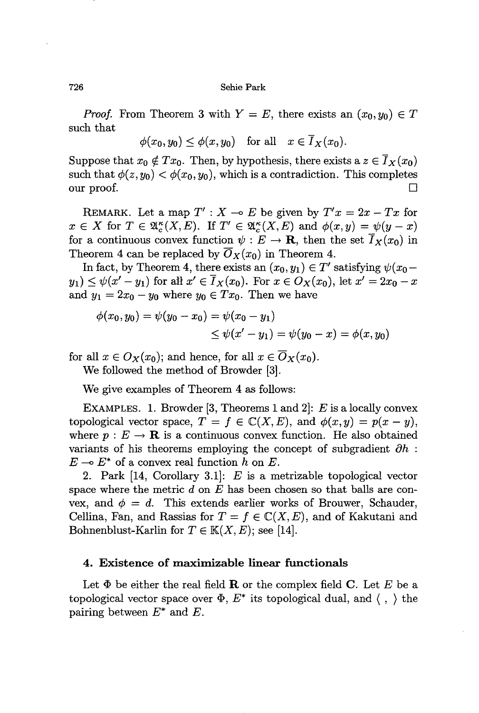726 Sehie Park

*Proof.* From Theorem 3 with  $Y = E$ , there exists an  $(x_0, y_0) \in T$ such that

$$
\phi(x_0,y_0)\leq \phi(x,y_0)\quad\text{for all}\quad x\in \overline{I}_X(x_0).
$$

Suppose that  $x_0 \notin Tx_0$ . Then, by hypothesis, there exists a  $z \in \overline{I}_X(x_0)$ such that  $\phi(z, y_0) < \phi(x_0, y_0)$ , which is a contradiction. This completes our proof.  $\Box$ 

REMARK. Let a map  $T' : X \to E$  be given by  $T'x = 2x - Tx$  for  $x \in X$  for  $T \in \mathfrak{A}_{c}^{\kappa}(X,E)$ . If  $T' \in \mathfrak{A}_{c}^{\kappa}(X,E)$  and  $\phi(x,y) = \psi(y-x)$ for a continuous convex function  $\psi: E \to \mathbf{R}$ , then the set  $\overline{I}_X(x_0)$  in Theorem 4 can be replaced by  $\overline{O}_X(x_0)$  in Theorem 4.

In fact, by Theorem 4, there exists an  $(x_0, y_1) \in T'$  satisfying  $\psi(x_0$  $y_1$ )  $\leq \psi(x'-y_1)$  for all  $x' \in \overline{I}_X(x_0)$ . For  $x \in O_X(x_0)$ , let  $x' = 2x_0 - x$ and  $y_1 = 2x_0 - y_0$  where  $y_0 \in Tx_0$ . Then we have

$$
\begin{aligned} \phi(x_0, y_0) &= \psi(y_0 - x_0) = \psi(x_0 - y_1) \\ &\le \psi(x' - y_1) = \psi(y_0 - x) = \phi(x, y_0) \end{aligned}
$$

for all  $x \in O_X(x_0)$ ; and hence, for all  $x \in \overline{O}_X(x_0)$ .

We followed the method of Browder [3].

We give examples of Theorem 4 as follows:

EXAMPLES. 1. Browder [3, Theorems 1 and 2]:  $E$  is a locally convex topological vector space,  $T = f \in \mathbb{C}(X, E)$ , and  $\phi(x, y) = p(x - y)$ , where  $p: E \to \mathbf{R}$  is a continuous convex function. He also obtained variants of his theorems employing the concept of subgradient  $\partial h$ :  $E \multimap E^*$  of a convex real function h on E.

2. Park [14, Corollary 3.1]: *E* is a metrizable topological vector space where the metric  $d$  on  $E$  has been chosen so that balls are convex, and  $\phi = d$ . This extends earlier works of Brouwer, Schauder, Cellina, Fan, and Rassias for  $T = f \in \mathbb{C}(X,E)$ , and of Kakutani and Bohnenblust-Karlin for  $T \in K(X, E)$ ; see [14].

# 4. Existence of maximizable linear functionals

Let  $\Phi$  be either the real field **R** or the complex field **C**. Let E be a topological vector space over  $\Phi$ ,  $E^*$  its topological dual, and  $\langle , \rangle$  the pairing between  $E^*$  and  $E$ .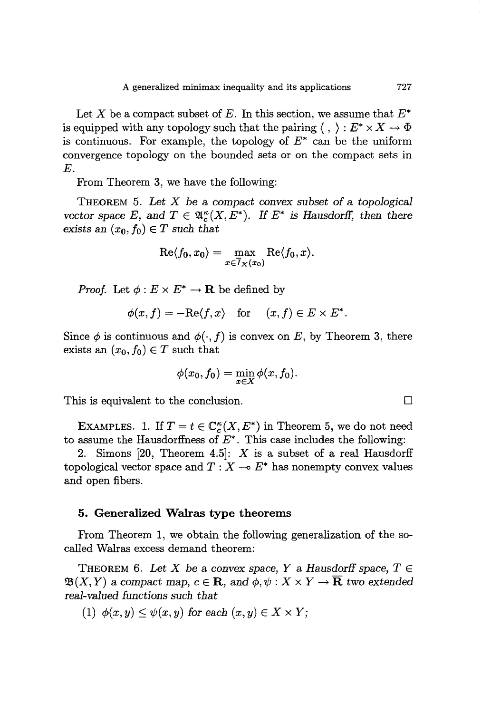Let X be a compact subset of E. In this section, we assume that  $E^*$ is equipped with any topology such that the pairing  $\langle , \rangle : E^* \times X \to \Phi$ is continuous. For example, the topology of  $E^*$  can be the uniform convergence topology on the bounded sets or on the compact sets in E.

From Theorem 3, we have the following:

THEOREM 5. *Let X* be a *compact convex subset* of a *topological vector space* E, and  $T \in \mathfrak{A}^{\kappa}(X, E^*)$ . If  $E^*$  *is Hausdorff, then there exists* an  $(x_0, f_0) \in T$  *such that* 

$$
\mathrm{Re}\langle f_0, x_0\rangle = \max_{x\in \overline{I}_X(x_0)} \mathrm{Re}\langle f_0, x\rangle.
$$

*Proof.* Let  $\phi: E \times E^* \to \mathbf{R}$  be defined by

$$
\phi(x,f) = -\mathrm{Re}\langle f,x\rangle \quad \text{for} \quad (x,f) \in E \times E^*.
$$

Since  $\phi$  is continuous and  $\phi(\cdot, f)$  is convex on E, by Theorem 3, there exists an  $(x_0, f_0) \in T$  such that

$$
\phi(x_0, f_0) = \min_{x \in X} \phi(x, f_0).
$$

This is equivalent to the conclusion.  $\Box$ 

EXAMPLES. 1. If  $T = t \in \mathbb{C}_c^{\kappa}(X, E^*)$  in Theorem 5, we do not need to assume the Hausdorffness of  $E^*$ . This case includes the following:

2. Simons [20, Theorem 4.5]: *X* is a subset of a real Hausdorff topological vector space and  $T : X \rightarrow E^*$  has nonempty convex values and open fibers.

## **5. Generalized Walras type theorems**

From Theorem 1, we obtain the following generalization of the socalled Walras excess demand theorem:

THEOREM 6. Let X be a convex space, Y a Hausdorff space,  $T \in$  $\mathfrak{B}(X, Y)$  a compact map,  $c \in \mathbb{R}$ , and  $\phi, \psi : X \times Y \to \overline{\mathbb{R}}$  two extended *real-valued functions such that*

(1)  $\phi(x, y) \leq \psi(x, y)$  for each  $(x, y) \in X \times Y$ ;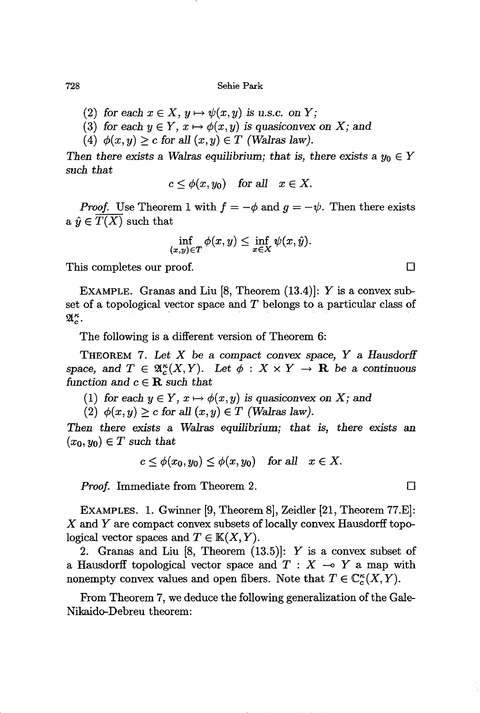728 Sehie Park

- (2) for each  $x \in X$ ,  $y \mapsto \psi(x, y)$  is u.s.c. on *Y*;
- (3) for each  $y \in Y$ ,  $x \mapsto \phi(x, y)$  is quasiconvex on X; and
- (4)  $\phi(x,y) > c$  for all  $(x,y) \in T$  *(Walras law).*

*Then there exists* a *Walras equilibrium; that is, there exists* a  $y_0 \in Y$ *such that*

$$
c\leq \phi(x,y_0)\quad\text{for all}\quad x\in X.
$$

*Proof.* Use Theorem 1 with  $f = -\phi$  and  $g = -\psi$ . Then there exists a  $\hat{y} \in T(X)$  such that

$$
\inf_{(x,y)\in T}\phi(x,y)\leq \inf_{x\in X}\psi(x,\hat{y}).
$$

This completes our proof.

EXAMPLE. Granas and Liu [8, Theorem (13.4)]: *Y* is a convex subset of a topological vector space and *T* belongs to a particular class of  $\mathfrak{A}_{c}^{\kappa}$ .

The following is a different version of Theorem 6:

THEOREM 7. *Let* X be a *compact convex space, Y* a *Hausdorff* space, and  $T \in \mathfrak{A}_{\alpha}^{\kappa}(X, Y)$ . Let  $\phi : X \times Y \to \mathbf{R}$  be a continuous *function* and  $c \in \mathbf{R}$  *such that* 

(1) for each  $y \in Y$ ,  $x \mapsto \phi(x, y)$  is quasiconvex on X; and

(2)  $\phi(x, y) \geq c$  for all  $(x, y) \in T$  (Walras law).

*Then there exists* a *Walras equilibrium; that is, there exists* an  $(x_0, y_0) \in T$  *such that* 

$$
c\leq \phi(x_0,y_0)\leq \phi(x,y_0)\quad\text{for all}\quad x\in X.
$$

*Proof.* Immediate from Theorem 2.  $\Box$ 

EXAMPLES. 1. Gwinner [9, Theorem 8], Zeidler [21, Theorem 77.E]: X and *Y* are compact convex subsets of locally convex Hausdorff topological vector spaces and  $T \in K(X, Y)$ .

2. Granas and Liu [8, Theorem (13.5)]: *Y* is a convex subset of a Hausdorff topological vector space and  $T : X \multimap Y$  a map with nonempty convex values and open fibers. Note that  $T \in \mathbb{C}^{\kappa}(X, Y)$ .

From Theorem 7, we deduce the following generalization of the Gale-Nikaido-Debreu theorem:

 $\Box$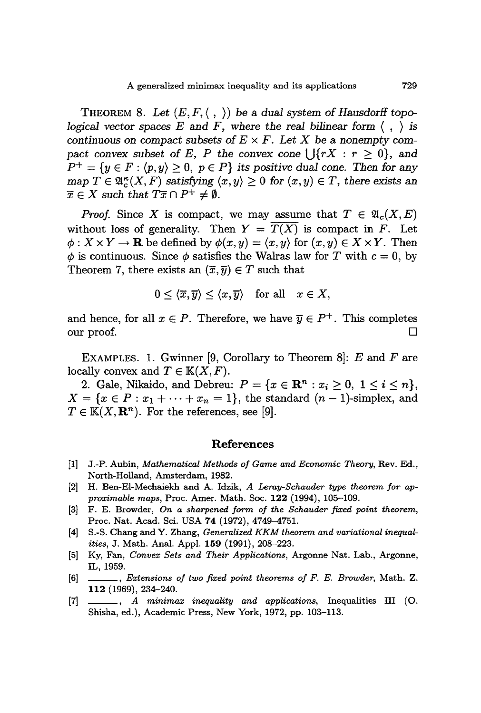THEOREM 8. Let  $(E, F, \langle , \rangle)$  be a dual system of Hausdorff topo*logical* vector spaces  $E$  and  $F$ , where the real bilinear form  $\langle , \rangle$  is *continuous* on *compact* subsets of  $E \times F$ . Let X be a nonempty com*pact convex subset of E*, *P the convex cone*  $\bigcup \{rX : r \geq 0\}$ , *and*  $P^+ = \{y \in F : \langle p, y \rangle \geq 0, p \in P\}$  *its positive dual cone. Then for any*  $\text{map } T \in \mathfrak{A}_{\epsilon}^{\kappa}(X, F) \text{ satisfying } \langle x, y \rangle \geq 0 \text{ for } (x, y) \in T, \text{ there exists an }$  $\overline{x} \in X$  *such that*  $T\overline{x} \cap P^+ \neq \emptyset$ *.* 

*Proof.* Since X is compact, we may assume that  $T \in \mathfrak{A}_c(X, E)$ without loss of generality. Then  $Y = \overline{T(X)}$  is compact in F. Let  $\phi: X \times Y \to \mathbf{R}$  be defined by  $\phi(x, y) = \langle x, y \rangle$  for  $(x, y) \in X \times Y$ . Then  $\phi$  is continuous. Since  $\phi$  satisfies the Walras law for *T* with  $c = 0$ , by Theorem 7, there exists an  $(\overline{x}, \overline{y}) \in T$  such that

$$
0 \leq \langle \overline{x}, \overline{y} \rangle \leq \langle x, \overline{y} \rangle \quad \text{for all} \quad x \in X,
$$

and hence, for all  $x \in P$ . Therefore, we have  $\overline{y} \in P^+$ . This completes our proof.  $\Box$ 

EXAMPLES. 1. Gwinner [9, Corollary to Theorem 8]:  $E$  and  $F$  are locally convex and  $T \in K(X, F)$ .

2. Gale, Nikaido, and Debreu:  $P = \{x \in \mathbb{R}^n : x_i \ge 0, 1 \le i \le n\},\$  $X = \{x \in P : x_1 + \cdots + x_n = 1\}$ , the standard  $(n-1)$ -simplex, and  $T \in K(X, \mathbf{R}^n)$ . For the references, see [9].

#### **References**

- [1] J.-P. Aubin, *Mathematical Methods of Game and Economic Theory,* Rev. Ed., North-Holland, Amsterdam, 1982.
- [2] H. Ben-EI-Mechaiekh and A. Idzik, *A Lemy-Schauder type theorem for approximable maps,* Proc. Amer. Math. Soc. **122** (1994), 105-109.
- [3] F. E. Browder, *On a sharpened form of the Schauder fixed point theorem,* Proc. Nat. Acad. Sci. USA **74** (1972), 4749-4751.
- [4] S.-S. Chang and Y. Zhang, *Genemlized KKM theorem and variational inequalities,* J. Math. Anal. Appl. **159** (1991), 208-223.
- [5] Ky, Fan, *Convex Sets and Their Applications,* Argonne Nat. Lab., Argonne, IL,1959.
- [6] \_\_, *Extensions of two fixed point theorems of F. E. Browder,* Math. Z. **112** (1969), 234-240.
- [7] \_\_, *<sup>A</sup> minimax inequality and applications,* Inequalities III (0. Shisha, ed.), Academic Press, New York, 1972, pp. 103-113.